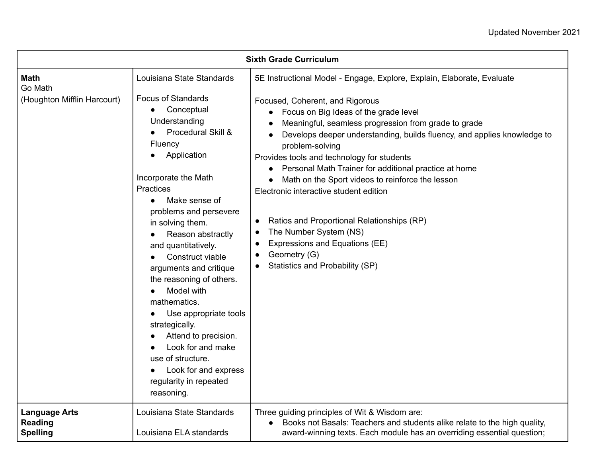| <b>Sixth Grade Curriculum</b>                                                                                                                                                                                                                                                                                                                     |                                                                                                                                                                                                                                    |                                                                                                                                                                                                                                                                                                                                                                                                                                                                                                                              |
|---------------------------------------------------------------------------------------------------------------------------------------------------------------------------------------------------------------------------------------------------------------------------------------------------------------------------------------------------|------------------------------------------------------------------------------------------------------------------------------------------------------------------------------------------------------------------------------------|------------------------------------------------------------------------------------------------------------------------------------------------------------------------------------------------------------------------------------------------------------------------------------------------------------------------------------------------------------------------------------------------------------------------------------------------------------------------------------------------------------------------------|
| <b>Math</b><br>Go Math<br>(Houghton Mifflin Harcourt)                                                                                                                                                                                                                                                                                             | Louisiana State Standards<br><b>Focus of Standards</b><br>Conceptual<br>Understanding<br>Procedural Skill &<br>Fluency<br>Application<br>Incorporate the Math<br>Practices<br>Make sense of<br>$\bullet$<br>problems and persevere | 5E Instructional Model - Engage, Explore, Explain, Elaborate, Evaluate<br>Focused, Coherent, and Rigorous<br>• Focus on Big Ideas of the grade level<br>Meaningful, seamless progression from grade to grade<br>Develops deeper understanding, builds fluency, and applies knowledge to<br>problem-solving<br>Provides tools and technology for students<br>Personal Math Trainer for additional practice at home<br>$\bullet$<br>Math on the Sport videos to reinforce the lesson<br>Electronic interactive student edition |
| in solving them.<br>Reason abstractly<br>and quantitatively.<br>Construct viable<br>arguments and critique<br>the reasoning of others.<br>Model with<br>mathematics.<br>Use appropriate tools<br>strategically.<br>Attend to precision.<br>Look for and make<br>use of structure.<br>Look for and express<br>regularity in repeated<br>reasoning. | Ratios and Proportional Relationships (RP)<br>$\bullet$<br>The Number System (NS)<br>$\bullet$<br>Expressions and Equations (EE)<br>$\bullet$<br>Geometry (G)<br>$\bullet$<br>Statistics and Probability (SP)                      |                                                                                                                                                                                                                                                                                                                                                                                                                                                                                                                              |
| <b>Language Arts</b><br><b>Reading</b><br><b>Spelling</b>                                                                                                                                                                                                                                                                                         | Louisiana State Standards<br>Louisiana ELA standards                                                                                                                                                                               | Three guiding principles of Wit & Wisdom are:<br>• Books not Basals: Teachers and students alike relate to the high quality,<br>award-winning texts. Each module has an overriding essential question;                                                                                                                                                                                                                                                                                                                       |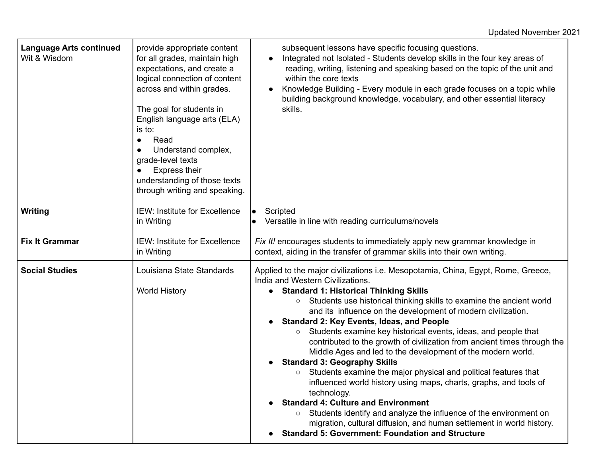| <b>Language Arts continued</b><br>Wit & Wisdom | provide appropriate content<br>for all grades, maintain high<br>expectations, and create a<br>logical connection of content<br>across and within grades.<br>The goal for students in<br>English language arts (ELA)<br>is to:<br>Read<br>$\bullet$<br>Understand complex,<br>grade-level texts<br><b>Express their</b><br>understanding of those texts<br>through writing and speaking. | subsequent lessons have specific focusing questions.<br>Integrated not Isolated - Students develop skills in the four key areas of<br>$\bullet$<br>reading, writing, listening and speaking based on the topic of the unit and<br>within the core texts<br>Knowledge Building - Every module in each grade focuses on a topic while<br>$\bullet$<br>building background knowledge, vocabulary, and other essential literacy<br>skills.                                                                                                                                                                                                                                                                                                                                                                                                                                                                                                                                                                                                                               |
|------------------------------------------------|-----------------------------------------------------------------------------------------------------------------------------------------------------------------------------------------------------------------------------------------------------------------------------------------------------------------------------------------------------------------------------------------|----------------------------------------------------------------------------------------------------------------------------------------------------------------------------------------------------------------------------------------------------------------------------------------------------------------------------------------------------------------------------------------------------------------------------------------------------------------------------------------------------------------------------------------------------------------------------------------------------------------------------------------------------------------------------------------------------------------------------------------------------------------------------------------------------------------------------------------------------------------------------------------------------------------------------------------------------------------------------------------------------------------------------------------------------------------------|
| Writing                                        | <b>IEW: Institute for Excellence</b><br>in Writing                                                                                                                                                                                                                                                                                                                                      | Scripted<br>$\bullet$<br>Versatile in line with reading curriculums/novels                                                                                                                                                                                                                                                                                                                                                                                                                                                                                                                                                                                                                                                                                                                                                                                                                                                                                                                                                                                           |
| <b>Fix It Grammar</b>                          | <b>IEW: Institute for Excellence</b><br>in Writing                                                                                                                                                                                                                                                                                                                                      | Fix It! encourages students to immediately apply new grammar knowledge in<br>context, aiding in the transfer of grammar skills into their own writing.                                                                                                                                                                                                                                                                                                                                                                                                                                                                                                                                                                                                                                                                                                                                                                                                                                                                                                               |
| <b>Social Studies</b>                          | Louisiana State Standards<br><b>World History</b>                                                                                                                                                                                                                                                                                                                                       | Applied to the major civilizations i.e. Mesopotamia, China, Egypt, Rome, Greece,<br>India and Western Civilizations.<br><b>Standard 1: Historical Thinking Skills</b><br>Students use historical thinking skills to examine the ancient world<br>$\circ$<br>and its influence on the development of modern civilization.<br><b>Standard 2: Key Events, Ideas, and People</b><br>Students examine key historical events, ideas, and people that<br>$\circ$<br>contributed to the growth of civilization from ancient times through the<br>Middle Ages and led to the development of the modern world.<br><b>Standard 3: Geography Skills</b><br>Students examine the major physical and political features that<br>$\circ$<br>influenced world history using maps, charts, graphs, and tools of<br>technology.<br><b>Standard 4: Culture and Environment</b><br>Students identify and analyze the influence of the environment on<br>migration, cultural diffusion, and human settlement in world history.<br><b>Standard 5: Government: Foundation and Structure</b> |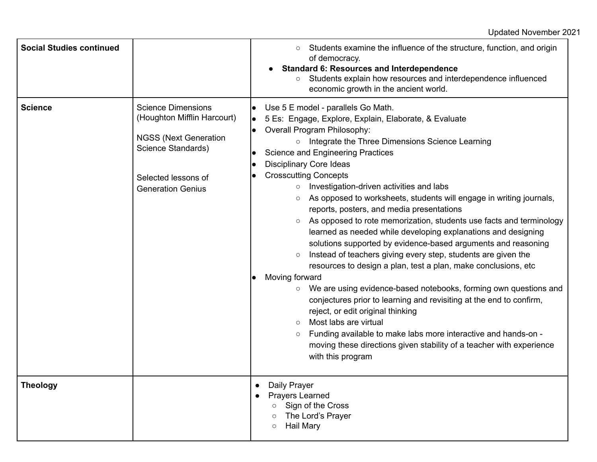| <b>Social Studies continued</b> |                                                                                                                                                                   | Students examine the influence of the structure, function, and origin<br>$\circ$<br>of democracy.<br><b>Standard 6: Resources and Interdependence</b><br>Students explain how resources and interdependence influenced<br>$\circ$<br>economic growth in the ancient world.                                                                                                                                                                                                                                                                                                                                                                                                                                                                                                                                                                                                                                                                                                                                                                                                                                                                                                                                                                                                                 |
|---------------------------------|-------------------------------------------------------------------------------------------------------------------------------------------------------------------|--------------------------------------------------------------------------------------------------------------------------------------------------------------------------------------------------------------------------------------------------------------------------------------------------------------------------------------------------------------------------------------------------------------------------------------------------------------------------------------------------------------------------------------------------------------------------------------------------------------------------------------------------------------------------------------------------------------------------------------------------------------------------------------------------------------------------------------------------------------------------------------------------------------------------------------------------------------------------------------------------------------------------------------------------------------------------------------------------------------------------------------------------------------------------------------------------------------------------------------------------------------------------------------------|
| <b>Science</b>                  | <b>Science Dimensions</b><br>(Houghton Mifflin Harcourt)<br><b>NGSS (Next Generation</b><br>Science Standards)<br>Selected lessons of<br><b>Generation Genius</b> | Use 5 E model - parallels Go Math.<br>5 Es: Engage, Explore, Explain, Elaborate, & Evaluate<br>Overall Program Philosophy:<br>Integrate the Three Dimensions Science Learning<br>$\circ$<br><b>Science and Engineering Practices</b><br><b>Disciplinary Core Ideas</b><br><b>Crosscutting Concepts</b><br>Investigation-driven activities and labs<br>$\circ$<br>As opposed to worksheets, students will engage in writing journals,<br>$\circ$<br>reports, posters, and media presentations<br>As opposed to rote memorization, students use facts and terminology<br>$\circ$<br>learned as needed while developing explanations and designing<br>solutions supported by evidence-based arguments and reasoning<br>Instead of teachers giving every step, students are given the<br>$\circ$<br>resources to design a plan, test a plan, make conclusions, etc.<br>Moving forward<br>We are using evidence-based notebooks, forming own questions and<br>$\circ$<br>conjectures prior to learning and revisiting at the end to confirm,<br>reject, or edit original thinking<br>Most labs are virtual<br>$\circ$<br>Funding available to make labs more interactive and hands-on -<br>$\circ$<br>moving these directions given stability of a teacher with experience<br>with this program |
| <b>Theology</b>                 |                                                                                                                                                                   | Daily Prayer<br>$\bullet$<br>Prayers Learned<br>$\bullet$<br>Sign of the Cross<br>$\circ$<br>The Lord's Prayer<br>$\circ$<br><b>Hail Mary</b><br>$\circ$                                                                                                                                                                                                                                                                                                                                                                                                                                                                                                                                                                                                                                                                                                                                                                                                                                                                                                                                                                                                                                                                                                                                   |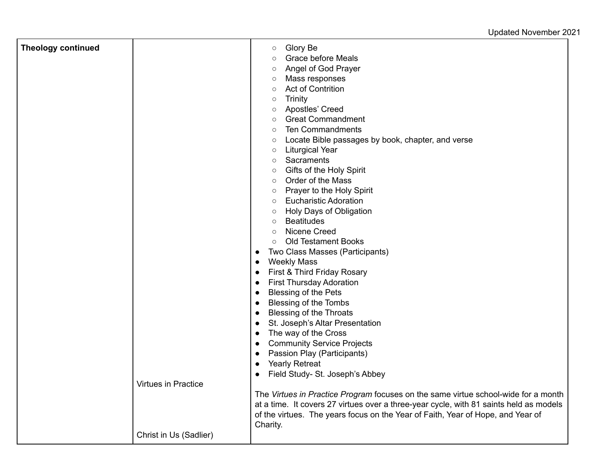## Updated November 2021

| <b>Theology continued</b> |                        | Glory Be<br>$\circ$<br><b>Grace before Meals</b><br>$\circ$                                                                                                                  |
|---------------------------|------------------------|------------------------------------------------------------------------------------------------------------------------------------------------------------------------------|
|                           |                        | Angel of God Prayer<br>$\circ$                                                                                                                                               |
|                           |                        | Mass responses<br>$\circ$                                                                                                                                                    |
|                           |                        | <b>Act of Contrition</b><br>$\circ$                                                                                                                                          |
|                           |                        | <b>Trinity</b><br>$\circ$                                                                                                                                                    |
|                           |                        | Apostles' Creed<br>$\circ$                                                                                                                                                   |
|                           |                        | <b>Great Commandment</b><br>$\circ$                                                                                                                                          |
|                           |                        | <b>Ten Commandments</b><br>$\circ$                                                                                                                                           |
|                           |                        | Locate Bible passages by book, chapter, and verse<br>$\circ$                                                                                                                 |
|                           |                        | <b>Liturgical Year</b><br>$\circ$                                                                                                                                            |
|                           |                        | Sacraments<br>$\circ$                                                                                                                                                        |
|                           |                        | Gifts of the Holy Spirit<br>$\circ$                                                                                                                                          |
|                           |                        | Order of the Mass<br>$\circ$                                                                                                                                                 |
|                           |                        | Prayer to the Holy Spirit<br>$\circ$                                                                                                                                         |
|                           |                        | <b>Eucharistic Adoration</b><br>$\circ$                                                                                                                                      |
|                           |                        | Holy Days of Obligation<br>$\circ$                                                                                                                                           |
|                           |                        | <b>Beatitudes</b><br>$\circ$                                                                                                                                                 |
|                           |                        | Nicene Creed<br>$\circ$                                                                                                                                                      |
|                           |                        | <b>Old Testament Books</b><br>$\circ$                                                                                                                                        |
|                           |                        | Two Class Masses (Participants)                                                                                                                                              |
|                           |                        | <b>Weekly Mass</b><br>$\bullet$                                                                                                                                              |
|                           |                        | First & Third Friday Rosary                                                                                                                                                  |
|                           |                        | <b>First Thursday Adoration</b>                                                                                                                                              |
|                           |                        | <b>Blessing of the Pets</b>                                                                                                                                                  |
|                           |                        | <b>Blessing of the Tombs</b><br>$\bullet$                                                                                                                                    |
|                           |                        | <b>Blessing of the Throats</b>                                                                                                                                               |
|                           |                        | St. Joseph's Altar Presentation                                                                                                                                              |
|                           |                        | The way of the Cross                                                                                                                                                         |
|                           |                        | <b>Community Service Projects</b>                                                                                                                                            |
|                           |                        | Passion Play (Participants)                                                                                                                                                  |
|                           |                        | <b>Yearly Retreat</b>                                                                                                                                                        |
|                           | Virtues in Practice    | Field Study- St. Joseph's Abbey                                                                                                                                              |
|                           |                        |                                                                                                                                                                              |
|                           |                        | The Virtues in Practice Program focuses on the same virtue school-wide for a month<br>at a time. It covers 27 virtues over a three-year cycle, with 81 saints held as models |
|                           |                        | of the virtues. The years focus on the Year of Faith, Year of Hope, and Year of                                                                                              |
|                           |                        | Charity.                                                                                                                                                                     |
|                           | Christ in Us (Sadlier) |                                                                                                                                                                              |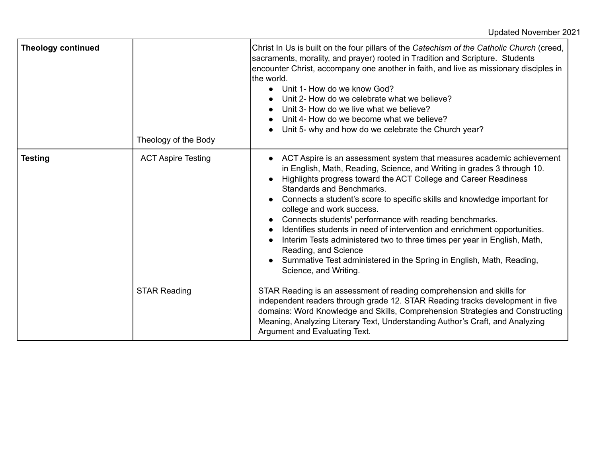| <b>Theology continued</b> | Theology of the Body      | Christ In Us is built on the four pillars of the Catechism of the Catholic Church (creed,<br>sacraments, morality, and prayer) rooted in Tradition and Scripture. Students<br>encounter Christ, accompany one another in faith, and live as missionary disciples in<br>the world.<br>Unit 1- How do we know God?<br>$\bullet$<br>Unit 2- How do we celebrate what we believe?<br>Unit 3- How do we live what we believe?<br>Unit 4- How do we become what we believe?<br>Unit 5- why and how do we celebrate the Church year?<br>$\bullet$                                                                                                                                                                                               |
|---------------------------|---------------------------|------------------------------------------------------------------------------------------------------------------------------------------------------------------------------------------------------------------------------------------------------------------------------------------------------------------------------------------------------------------------------------------------------------------------------------------------------------------------------------------------------------------------------------------------------------------------------------------------------------------------------------------------------------------------------------------------------------------------------------------|
| <b>Testing</b>            | <b>ACT Aspire Testing</b> | ACT Aspire is an assessment system that measures academic achievement<br>$\bullet$<br>in English, Math, Reading, Science, and Writing in grades 3 through 10.<br>Highlights progress toward the ACT College and Career Readiness<br><b>Standards and Benchmarks.</b><br>Connects a student's score to specific skills and knowledge important for<br>college and work success.<br>Connects students' performance with reading benchmarks.<br>Identifies students in need of intervention and enrichment opportunities.<br>$\bullet$<br>Interim Tests administered two to three times per year in English, Math,<br>Reading, and Science<br>Summative Test administered in the Spring in English, Math, Reading,<br>Science, and Writing. |
|                           | <b>STAR Reading</b>       | STAR Reading is an assessment of reading comprehension and skills for<br>independent readers through grade 12. STAR Reading tracks development in five<br>domains: Word Knowledge and Skills, Comprehension Strategies and Constructing<br>Meaning, Analyzing Literary Text, Understanding Author's Craft, and Analyzing<br>Argument and Evaluating Text.                                                                                                                                                                                                                                                                                                                                                                                |